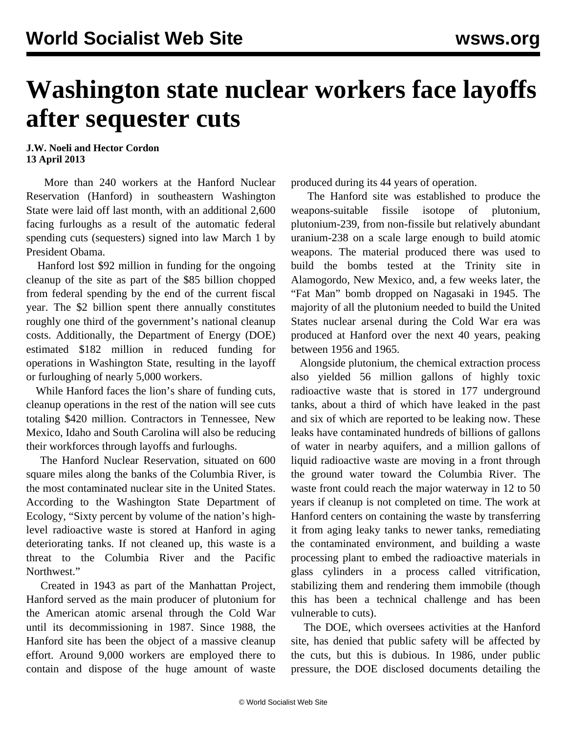## **Washington state nuclear workers face layoffs after sequester cuts**

**J.W. Noeli and Hector Cordon 13 April 2013**

 More than 240 workers at the Hanford Nuclear Reservation (Hanford) in southeastern Washington State were laid off last month, with an additional 2,600 facing furloughs as a result of the automatic federal spending cuts (sequesters) signed into law March 1 by President Obama.

 Hanford lost \$92 million in funding for the ongoing cleanup of the site as part of the \$85 billion chopped from federal spending by the end of the current fiscal year. The \$2 billion spent there annually constitutes roughly one third of the government's national cleanup costs. Additionally, the Department of Energy (DOE) estimated \$182 million in reduced funding for operations in Washington State, resulting in the layoff or furloughing of nearly 5,000 workers.

 While Hanford faces the lion's share of funding cuts, cleanup operations in the rest of the nation will see cuts totaling \$420 million. Contractors in Tennessee, New Mexico, Idaho and South Carolina will also be reducing their workforces through layoffs and furloughs.

 The Hanford Nuclear Reservation, situated on 600 square miles along the banks of the Columbia River, is the most contaminated nuclear site in the United States. According to the Washington State Department of Ecology, "Sixty percent by volume of the nation's highlevel radioactive waste is stored at Hanford in aging deteriorating tanks. If not cleaned up, this waste is a threat to the Columbia River and the Pacific Northwest."

 Created in 1943 as part of the Manhattan Project, Hanford served as the main producer of plutonium for the American atomic arsenal through the Cold War until its decommissioning in 1987. Since 1988, the Hanford site has been the object of a massive cleanup effort. Around 9,000 workers are employed there to contain and dispose of the huge amount of waste produced during its 44 years of operation.

 The Hanford site was established to produce the weapons-suitable fissile isotope of plutonium, plutonium-239, from non-fissile but relatively abundant uranium-238 on a scale large enough to build atomic weapons. The material produced there was used to build the bombs tested at the Trinity site in Alamogordo, New Mexico, and, a few weeks later, the "Fat Man" bomb dropped on Nagasaki in 1945. The majority of all the plutonium needed to build the United States nuclear arsenal during the Cold War era was produced at Hanford over the next 40 years, peaking between 1956 and 1965.

 Alongside plutonium, the chemical extraction process also yielded 56 million gallons of highly toxic radioactive waste that is stored in 177 underground tanks, about a third of which have leaked in the past and six of which are reported to be leaking now. These leaks have contaminated hundreds of billions of gallons of water in nearby aquifers, and a million gallons of liquid radioactive waste are moving in a front through the ground water toward the Columbia River. The waste front could reach the major waterway in 12 to 50 years if cleanup is not completed on time. The work at Hanford centers on containing the waste by transferring it from aging leaky tanks to newer tanks, remediating the contaminated environment, and building a waste processing plant to embed the radioactive materials in glass cylinders in a process called vitrification, stabilizing them and rendering them immobile (though this has been a technical challenge and has been vulnerable to cuts).

 The DOE, which oversees activities at the Hanford site, has denied that public safety will be affected by the cuts, but this is dubious. In 1986, under public pressure, the DOE disclosed documents detailing the